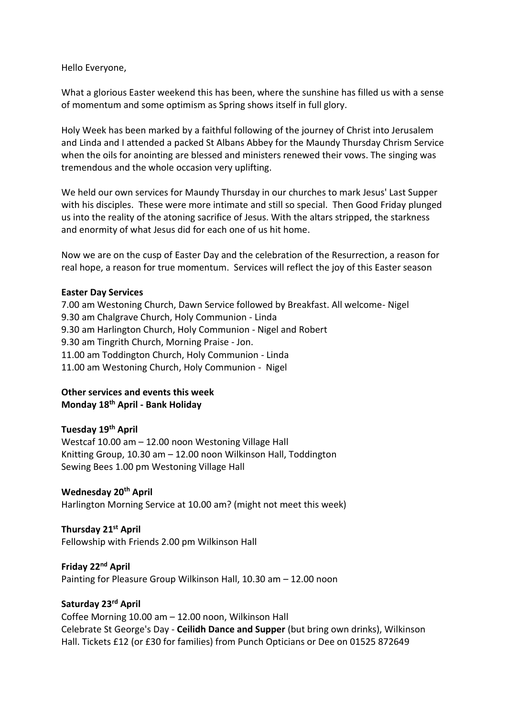Hello Everyone,

What a glorious Easter weekend this has been, where the sunshine has filled us with a sense of momentum and some optimism as Spring shows itself in full glory.

Holy Week has been marked by a faithful following of the journey of Christ into Jerusalem and Linda and I attended a packed St Albans Abbey for the Maundy Thursday Chrism Service when the oils for anointing are blessed and ministers renewed their vows. The singing was tremendous and the whole occasion very uplifting.

We held our own services for Maundy Thursday in our churches to mark Jesus' Last Supper with his disciples. These were more intimate and still so special. Then Good Friday plunged us into the reality of the atoning sacrifice of Jesus. With the altars stripped, the starkness and enormity of what Jesus did for each one of us hit home.

Now we are on the cusp of Easter Day and the celebration of the Resurrection, a reason for real hope, a reason for true momentum. Services will reflect the joy of this Easter season

### **Easter Day Services**

7.00 am Westoning Church, Dawn Service followed by Breakfast. All welcome- Nigel 9.30 am Chalgrave Church, Holy Communion - Linda 9.30 am Harlington Church, Holy Communion - Nigel and Robert 9.30 am Tingrith Church, Morning Praise - Jon. 11.00 am Toddington Church, Holy Communion - Linda 11.00 am Westoning Church, Holy Communion - Nigel

# **Other services and events this week Monday 18th April - Bank Holiday**

# **Tuesday 19th April**

Westcaf 10.00 am – 12.00 noon Westoning Village Hall Knitting Group, 10.30 am – 12.00 noon Wilkinson Hall, Toddington Sewing Bees 1.00 pm Westoning Village Hall

## **Wednesday 20th April**

Harlington Morning Service at 10.00 am? (might not meet this week)

### **Thursday 21st April**

Fellowship with Friends 2.00 pm Wilkinson Hall

### **Friday 22nd April**

Painting for Pleasure Group Wilkinson Hall, 10.30 am – 12.00 noon

## **Saturday 23rd April**

Coffee Morning 10.00 am – 12.00 noon, Wilkinson Hall Celebrate St George's Day - **Ceilidh Dance and Supper** (but bring own drinks), Wilkinson Hall. Tickets £12 (or £30 for families) from Punch Opticians or Dee on 01525 872649